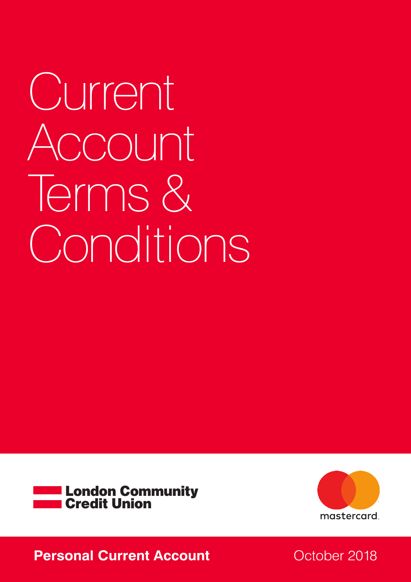Current Account Terms & Conditions





## **Personal Current Account Carrent Account October 2018**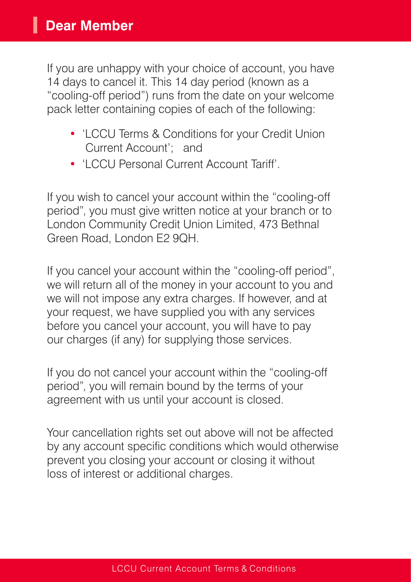If you are unhappy with your choice of account, you have 14 days to cancel it. This 14 day period (known as a "cooling-off period") runs from the date on your welcome pack letter containing copies of each of the following:

- 'LCCU Terms & Conditions for your Credit Union Current Account'; and
- 'LCCU Personal Current Account Tariff'.

If you wish to cancel your account within the "cooling-off period", you must give written notice at your branch or to London Community Credit Union Limited, 473 Bethnal Green Road, London E2 9QH.

If you cancel your account within the "cooling-off period", we will return all of the money in your account to you and we will not impose any extra charges. If however, and at your request, we have supplied you with any services before you cancel your account, you will have to pay our charges (if any) for supplying those services.

If you do not cancel your account within the "cooling-off period", you will remain bound by the terms of your agreement with us until your account is closed.

Your cancellation rights set out above will not be affected by any account specific conditions which would otherwise prevent you closing your account or closing it without loss of interest or additional charges.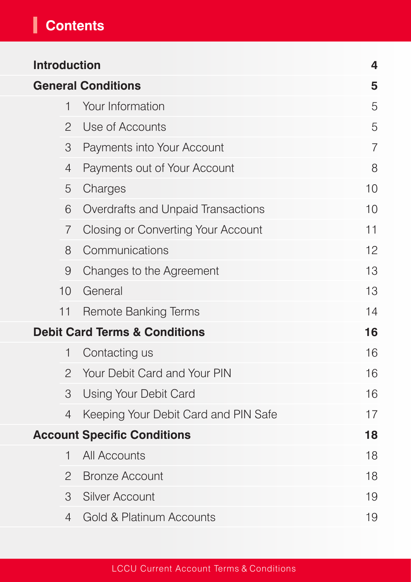# **Contents**

| <b>Introduction</b>                      |                |                                      | $\overline{\mathbf{4}}$ |
|------------------------------------------|----------------|--------------------------------------|-------------------------|
| <b>General Conditions</b>                |                |                                      | 5                       |
|                                          | $\mathbf{1}$   | Your Information                     | 5                       |
|                                          | $\overline{2}$ | Use of Accounts                      | 5                       |
|                                          | 3              | Payments into Your Account           | $\overline{7}$          |
|                                          | $\overline{4}$ | Payments out of Your Account         | 8                       |
|                                          | 5              | Charges                              | 10                      |
|                                          | 6              | Overdrafts and Unpaid Transactions   | 10                      |
|                                          | $\overline{7}$ | Closing or Converting Your Account   | 11                      |
|                                          | 8              | Communications                       | 12                      |
|                                          | $\Theta$       | Changes to the Agreement             | 13                      |
|                                          | 10             | General                              | 13                      |
|                                          | 11             | <b>Remote Banking Terms</b>          | 14                      |
| <b>Debit Card Terms &amp; Conditions</b> |                |                                      | 16                      |
|                                          | $\mathbf{1}$   | Contacting us                        | 16                      |
|                                          | $\overline{2}$ | Your Debit Card and Your PIN         | 16                      |
|                                          | 3              | Using Your Debit Card                | 16                      |
|                                          | $\overline{4}$ | Keeping Your Debit Card and PIN Safe | 17                      |
| <b>Account Specific Conditions</b>       |                |                                      | 18                      |
|                                          | $\mathbf{1}$   | <b>All Accounts</b>                  | 18                      |
|                                          | $\overline{2}$ | <b>Bronze Account</b>                | 18                      |
|                                          | 3              | <b>Silver Account</b>                | 19                      |
|                                          | $\overline{4}$ | <b>Gold &amp; Platinum Accounts</b>  | 19                      |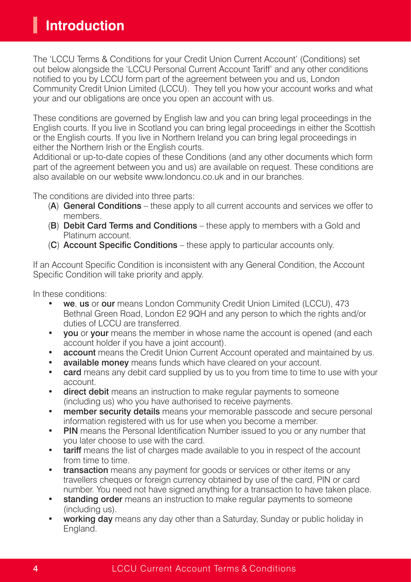The 'LCCU Terms & Conditions for your Credit Union Current Account' (Conditions) set out below alongside the 'LCCU Personal Current Account Tariff' and any other conditions notified to you by LCCU form part of the agreement between you and us, London Community Credit Union Limited (LCCU). They tell you how your account works and what your and our obligations are once you open an account with us.

These conditions are governed by English law and you can bring legal proceedings in the English courts. If you live in Scotland you can bring legal proceedings in either the Scottish or the English courts. If you live in Northern Ireland you can bring legal proceedings in either the Northern Irish or the English courts.

Additional or up-to-date copies of these Conditions (and any other documents which form part of the agreement between you and us) are available on request. These conditions are also available on our website www.londoncu.co.uk and in our branches.

The conditions are divided into three parts:

- (A) General Conditions these apply to all current accounts and services we offer to members.
- (B) Debit Card Terms and Conditions these apply to members with a Gold and Platinum account.
- (C) Account Specific Conditions these apply to particular accounts only.

If an Account Specific Condition is inconsistent with any General Condition, the Account Specific Condition will take priority and apply.

In these conditions:

- we, us or our means London Community Credit Union Limited (LCCU), 473 Bethnal Green Road, London E2 9QH and any person to which the rights and/or duties of LCCU are transferred.
- vou or your means the member in whose name the account is opened (and each account holder if you have a joint account).
- **account** means the Credit Union Current Account operated and maintained by us.
- available money means funds which have cleared on your account.
- **card** means any debit card supplied by us to you from time to time to use with your account.
- direct debit means an instruction to make regular payments to someone (including us) who you have authorised to receive payments.
- member security details means your memorable passcode and secure personal information registered with us for use when you become a member.
- **PIN** means the Personal Identification Number issued to you or any number that you later choose to use with the card.
- tariff means the list of charges made available to you in respect of the account from time to time.
- transaction means any payment for goods or services or other items or any travellers cheques or foreign currency obtained by use of the card, PIN or card number. You need not have signed anything for a transaction to have taken place.
- **standing order** means an instruction to make regular payments to someone (including us).
- working day means any day other than a Saturday, Sunday or public holiday in England.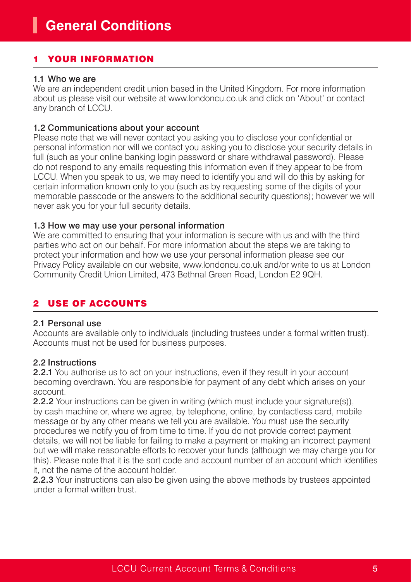## YOUR INFORMATION

#### 1.1 Who we are

We are an independent credit union based in the United Kingdom. For more information about us please visit our website at www.londoncu.co.uk and click on 'About' or contact any branch of LCCU.

#### 1.2 Communications about your account

Please note that we will never contact you asking you to disclose your confidential or personal information nor will we contact you asking you to disclose your security details in full (such as your online banking login password or share withdrawal password). Please do not respond to any emails requesting this information even if they appear to be from LCCU. When you speak to us, we may need to identify you and will do this by asking for certain information known only to you (such as by requesting some of the digits of your memorable passcode or the answers to the additional security questions); however we will never ask you for your full security details.

#### 1.3 How we may use your personal information

We are committed to ensuring that your information is secure with us and with the third parties who act on our behalf. For more information about the steps we are taking to protect your information and how we use your personal information please see our Privacy Policy available on our website, www.londoncu.co.uk and/or write to us at London Community Credit Union Limited, 473 Bethnal Green Road, London E2 9QH.

## **USE OF ACCOUNTS**

#### 2.1 Personal use

Accounts are available only to individuals (including trustees under a formal written trust). Accounts must not be used for business purposes.

#### 2.2 Instructions

2.2.1 You authorise us to act on your instructions, even if they result in your account becoming overdrawn. You are responsible for payment of any debt which arises on your account.

2.2.2 Your instructions can be given in writing (which must include your signature(s)), by cash machine or, where we agree, by telephone, online, by contactless card, mobile message or by any other means we tell you are available. You must use the security procedures we notify you of from time to time. If you do not provide correct payment details, we will not be liable for failing to make a payment or making an incorrect payment but we will make reasonable efforts to recover your funds (although we may charge you for this). Please note that it is the sort code and account number of an account which identifies it, not the name of the account holder.

2.2.3 Your instructions can also be given using the above methods by trustees appointed under a formal written trust.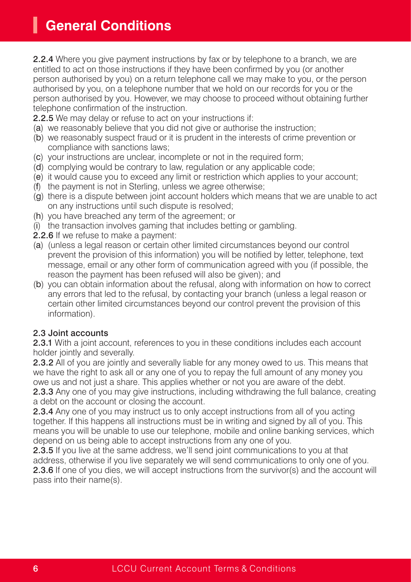2.2.4 Where you give payment instructions by fax or by telephone to a branch, we are entitled to act on those instructions if they have been confirmed by you (or another person authorised by you) on a return telephone call we may make to you, or the person authorised by you, on a telephone number that we hold on our records for you or the person authorised by you. However, we may choose to proceed without obtaining further telephone confirmation of the instruction.

- 2.2.5 We may delay or refuse to act on your instructions if:
- (a) we reasonably believe that you did not give or authorise the instruction;
- (b) we reasonably suspect fraud or it is prudent in the interests of crime prevention or compliance with sanctions laws;
- (c) your instructions are unclear, incomplete or not in the required form;
- (d) complying would be contrary to law, regulation or any applicable code;
- (e) it would cause you to exceed any limit or restriction which applies to your account;
- (f) the payment is not in Sterling, unless we agree otherwise;
- (g) there is a dispute between joint account holders which means that we are unable to act on any instructions until such dispute is resolved;
- (h) you have breached any term of the agreement; or
- (i) the transaction involves gaming that includes betting or gambling.
- 2.2.6 If we refuse to make a payment:
- (a) (unless a legal reason or certain other limited circumstances beyond our control prevent the provision of this information) you will be notified by letter, telephone, text message, email or any other form of communication agreed with you (if possible, the reason the payment has been refused will also be given); and
- (b) you can obtain information about the refusal, along with information on how to correct any errors that led to the refusal, by contacting your branch (unless a legal reason or certain other limited circumstances beyond our control prevent the provision of this information).

#### 2.3 Joint accounts

2.3.1 With a joint account, references to you in these conditions includes each account holder jointly and severally.

2.3.2 All of you are jointly and severally liable for any money owed to us. This means that we have the right to ask all or any one of you to repay the full amount of any money you owe us and not just a share. This applies whether or not you are aware of the debt.

2.3.3 Any one of you may give instructions, including withdrawing the full balance, creating a debt on the account or closing the account.

2.3.4 Any one of you may instruct us to only accept instructions from all of you acting together. If this happens all instructions must be in writing and signed by all of you. This means you will be unable to use our telephone, mobile and online banking services, which depend on us being able to accept instructions from any one of you.

2.3.5 If you live at the same address, we'll send joint communications to you at that address, otherwise if you live separately we will send communications to only one of you. 2.3.6 If one of you dies, we will accept instructions from the survivor(s) and the account will pass into their name(s).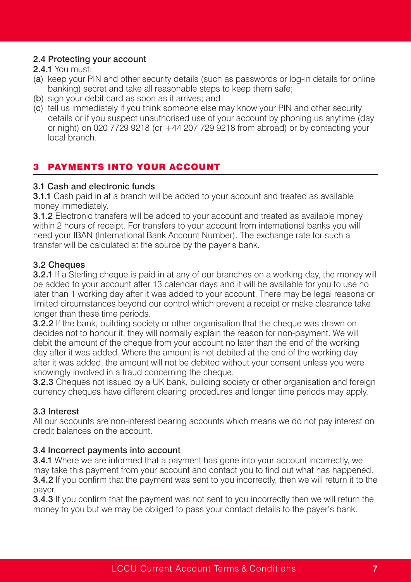#### 2.4 Protecting your account

#### 2.4.1 You must:

- (a) keep your PIN and other security details (such as passwords or log-in details for online banking) secret and take all reasonable steps to keep them safe;
- (b) sign your debit card as soon as it arrives; and
- (c) tell us immediately if you think someone else may know your PIN and other security details or if you suspect unauthorised use of your account by phoning us anytime (day or night) on 020 7729 9218 (or  $+44$  207 729 9218 from abroad) or by contacting your local branch.

## **PAYMENTS INTO YOUR ACCOUNT**

#### 3.1 Cash and electronic funds

3.1.1 Cash paid in at a branch will be added to your account and treated as available money immediately.

**3.1.2** Electronic transfers will be added to your account and treated as available money within 2 hours of receipt. For transfers to your account from international banks you will need your IBAN (International Bank Account Number). The exchange rate for such a transfer will be calculated at the source by the payer's bank.

## 3.2 Cheques

**3.2.1** If a Sterling cheque is paid in at any of our branches on a working day, the money will be added to your account after 13 calendar days and it will be available for you to use no later than 1 working day after it was added to your account. There may be legal reasons or limited circumstances beyond our control which prevent a receipt or make clearance take longer than these time periods.

**3.2.2** If the bank, building society or other organisation that the cheque was drawn on decides not to honour it, they will normally explain the reason for non-payment. We will debit the amount of the cheque from your account no later than the end of the working day after it was added. Where the amount is not debited at the end of the working day after it was added, the amount will not be debited without your consent unless you were knowingly involved in a fraud concerning the cheque.

**3.2.3** Cheques not issued by a UK bank, building society or other organisation and foreign currency cheques have different clearing procedures and longer time periods may apply.

## 3.3 Interest

All our accounts are non-interest bearing accounts which means we do not pay interest on credit balances on the account.

## 3.4 Incorrect payments into account

3.4.1 Where we are informed that a payment has gone into your account incorrectly, we may take this payment from your account and contact you to find out what has happened. 3.4.2 If you confirm that the payment was sent to you incorrectly, then we will return it to the payer.

**3.4.3** If you confirm that the payment was not sent to you incorrectly then we will return the money to you but we may be obliged to pass your contact details to the payer's bank.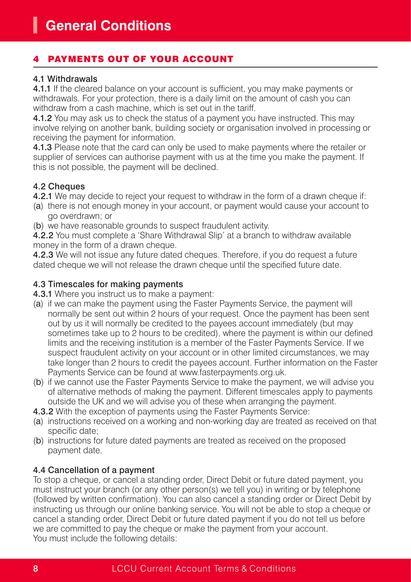## PAYMENTS OUT OF YOUR ACCOUNT

#### 4.1 Withdrawals

4.1.1 If the cleared balance on your account is sufficient, you may make payments or withdrawals. For your protection, there is a daily limit on the amount of cash you can withdraw from a cash machine, which is set out in the tariff.

4.1.2 You may ask us to check the status of a payment you have instructed. This may involve relying on another bank, building society or organisation involved in processing or receiving the payment for information.

4.1.3 Please note that the card can only be used to make payments where the retailer or supplier of services can authorise payment with us at the time you make the payment. If this is not possible, the payment will be declined.

#### 4.2 Cheques

4.2.1 We may decide to reject your request to withdraw in the form of a drawn cheque if:

- (a) there is not enough money in your account, or payment would cause your account to go overdrawn; or
- (b) we have reasonable grounds to suspect fraudulent activity.

4.2.2 You must complete a 'Share Withdrawal Slip' at a branch to withdraw available money in the form of a drawn cheque.

4.2.3 We will not issue any future dated cheques. Therefore, if you do request a future dated cheque we will not release the drawn cheque until the specified future date.

#### 4.3 Timescales for making payments

- 4.3.1 Where you instruct us to make a payment:
- (a) if we can make the payment using the Faster Payments Service, the payment will normally be sent out within 2 hours of your request. Once the payment has been sent out by us it will normally be credited to the payees account immediately (but may sometimes take up to 2 hours to be credited), where the payment is within our defined limits and the receiving institution is a member of the Faster Payments Service. If we suspect fraudulent activity on your account or in other limited circumstances, we may take longer than 2 hours to credit the payees account. Further information on the Faster Payments Service can be found at www.fasterpayments.org.uk.
- (b) if we cannot use the Faster Payments Service to make the payment, we will advise you of alternative methods of making the payment. Different timescales apply to payments outside the UK and we will advise you of these when arranging the payment.
- 4.3.2 With the exception of payments using the Faster Payments Service:
- (a) instructions received on a working and non-working day are treated as received on that specific date;
- (b) instructions for future dated payments are treated as received on the proposed payment date.

## 4.4 Cancellation of a payment

To stop a cheque, or cancel a standing order, Direct Debit or future dated payment, you must instruct your branch (or any other person(s) we tell you) in writing or by telephone (followed by written confirmation). You can also cancel a standing order or Direct Debit by instructing us through our online banking service. You will not be able to stop a cheque or cancel a standing order, Direct Debit or future dated payment if you do not tell us before we are committed to pay the cheque or make the payment from your account. You must include the following details: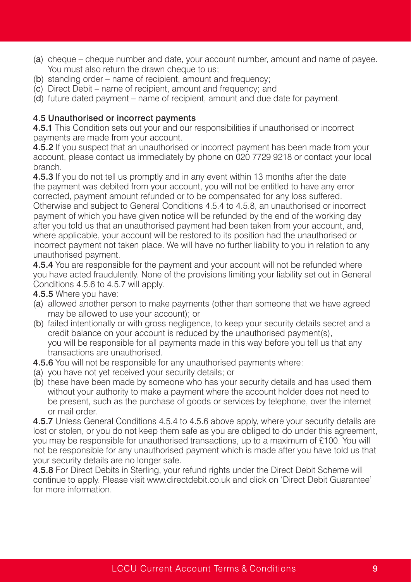- (a) cheque cheque number and date, your account number, amount and name of payee. You must also return the drawn cheque to us:
- (b) standing order name of recipient, amount and frequency;
- (c) Direct Debit name of recipient, amount and frequency; and
- (d) future dated payment name of recipient, amount and due date for payment.

#### 4.5 Unauthorised or incorrect payments

4.5.1 This Condition sets out your and our responsibilities if unauthorised or incorrect payments are made from your account.

4.5.2 If you suspect that an unauthorised or incorrect payment has been made from your account, please contact us immediately by phone on 020 7729 9218 or contact your local branch.

4.5.3 If you do not tell us promptly and in any event within 13 months after the date the payment was debited from your account, you will not be entitled to have any error corrected, payment amount refunded or to be compensated for any loss suffered. Otherwise and subject to General Conditions 4.5.4 to 4.5.8, an unauthorised or incorrect payment of which you have given notice will be refunded by the end of the working day after you told us that an unauthorised payment had been taken from your account, and, where applicable, your account will be restored to its position had the unauthorised or incorrect payment not taken place. We will have no further liability to you in relation to any unauthorised payment.

4.5.4 You are responsible for the payment and your account will not be refunded where you have acted fraudulently. None of the provisions limiting your liability set out in General Conditions 4.5.6 to 4.5.7 will apply.

4.5.5 Where you have:

- (a) allowed another person to make payments (other than someone that we have agreed may be allowed to use your account); or
- (b) failed intentionally or with gross negligence, to keep your security details secret and a credit balance on your account is reduced by the unauthorised payment(s), you will be responsible for all payments made in this way before you tell us that any transactions are unauthorised.
- 4.5.6 You will not be responsible for any unauthorised payments where:
- (a) you have not yet received your security details; or
- (b) these have been made by someone who has your security details and has used them without your authority to make a payment where the account holder does not need to be present, such as the purchase of goods or services by telephone, over the internet or mail order.

4.5.7 Unless General Conditions 4.5.4 to 4.5.6 above apply, where your security details are lost or stolen, or you do not keep them safe as you are obliged to do under this agreement, you may be responsible for unauthorised transactions, up to a maximum of £100. You will not be responsible for any unauthorised payment which is made after you have told us that your security details are no longer safe.

4.5.8 For Direct Debits in Sterling, your refund rights under the Direct Debit Scheme will continue to apply. Please visit www.directdebit.co.uk and click on 'Direct Debit Guarantee' for more information.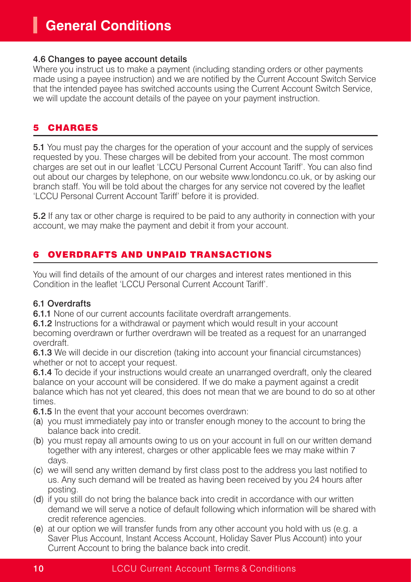#### 4.6 Changes to payee account details

Where you instruct us to make a payment (including standing orders or other payments made using a payee instruction) and we are notified by the Current Account Switch Service that the intended payee has switched accounts using the Current Account Switch Service, we will update the account details of the payee on your payment instruction.

## **CHARGES**

5.1 You must pay the charges for the operation of your account and the supply of services requested by you. These charges will be debited from your account. The most common charges are set out in our leaflet 'LCCU Personal Current Account Tariff'. You can also find out about our charges by telephone, on our website www.londoncu.co.uk, or by asking our branch staff. You will be told about the charges for any service not covered by the leaflet 'LCCU Personal Current Account Tariff' before it is provided.

5.2 If any tax or other charge is required to be paid to any authority in connection with your account, we may make the payment and debit it from your account.

## 6 OVERDRAFTS AND UNPAID TRANSACTIONS

You will find details of the amount of our charges and interest rates mentioned in this Condition in the leaflet 'LCCU Personal Current Account Tariff'.

## 6.1 Overdrafts

**6.1.1** None of our current accounts facilitate overdraft arrangements.

6.1.2 Instructions for a withdrawal or payment which would result in your account becoming overdrawn or further overdrawn will be treated as a request for an unarranged overdraft.

6.1.3 We will decide in our discretion (taking into account your financial circumstances) whether or not to accept your request.

6.1.4 To decide if your instructions would create an unarranged overdraft, only the cleared balance on your account will be considered. If we do make a payment against a credit balance which has not yet cleared, this does not mean that we are bound to do so at other times.

6.1.5 In the event that your account becomes overdrawn:

- (a) you must immediately pay into or transfer enough money to the account to bring the balance back into credit.
- (b) you must repay all amounts owing to us on your account in full on our written demand together with any interest, charges or other applicable fees we may make within 7 days.
- (c) we will send any written demand by first class post to the address you last notified to us. Any such demand will be treated as having been received by you 24 hours after posting.
- (d) if you still do not bring the balance back into credit in accordance with our written demand we will serve a notice of default following which information will be shared with credit reference agencies.
- (e) at our option we will transfer funds from any other account you hold with us (e.g. a Saver Plus Account, Instant Access Account, Holiday Saver Plus Account) into your Current Account to bring the balance back into credit.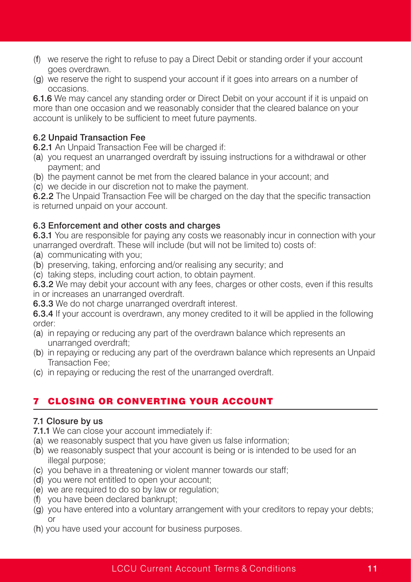- (f) we reserve the right to refuse to pay a Direct Debit or standing order if your account goes overdrawn.
- (g) we reserve the right to suspend your account if it goes into arrears on a number of occasions.

6.1.6 We may cancel any standing order or Direct Debit on your account if it is unpaid on more than one occasion and we reasonably consider that the cleared balance on your account is unlikely to be sufficient to meet future payments.

#### 6.2 Unpaid Transaction Fee

6.2.1 An Unpaid Transaction Fee will be charged if:

- (a) you request an unarranged overdraft by issuing instructions for a withdrawal or other payment; and
- (b) the payment cannot be met from the cleared balance in your account; and
- (c) we decide in our discretion not to make the payment.

6.2.2 The Unpaid Transaction Fee will be charged on the day that the specific transaction is returned unpaid on your account.

#### 6.3 Enforcement and other costs and charges

6.3.1 You are responsible for paying any costs we reasonably incur in connection with your unarranged overdraft. These will include (but will not be limited to) costs of:

- (a) communicating with you;
- (b) preserving, taking, enforcing and/or realising any security; and
- (c) taking steps, including court action, to obtain payment.

6.3.2 We may debit your account with any fees, charges or other costs, even if this results in or increases an unarranged overdraft.

6.3.3 We do not charge unarranged overdraft interest.

6.3.4 If your account is overdrawn, any money credited to it will be applied in the following order:

- (a) in repaying or reducing any part of the overdrawn balance which represents an unarranged overdraft;
- (b) in repaying or reducing any part of the overdrawn balance which represents an Unpaid Transaction Fee;
- (c) in repaying or reducing the rest of the unarranged overdraft.

## 7 CLOSING OR CONVERTING YOUR ACCOUNT

#### 7.1 Closure by us

7.1.1 We can close your account immediately if:

- (a) we reasonably suspect that you have given us false information;
- (b) we reasonably suspect that your account is being or is intended to be used for an illegal purpose;
- (c) you behave in a threatening or violent manner towards our staff;
- (d) you were not entitled to open your account;
- (e) we are required to do so by law or regulation;
- (f) you have been declared bankrupt;
- (g) you have entered into a voluntary arrangement with your creditors to repay your debts; or
- (h) you have used your account for business purposes.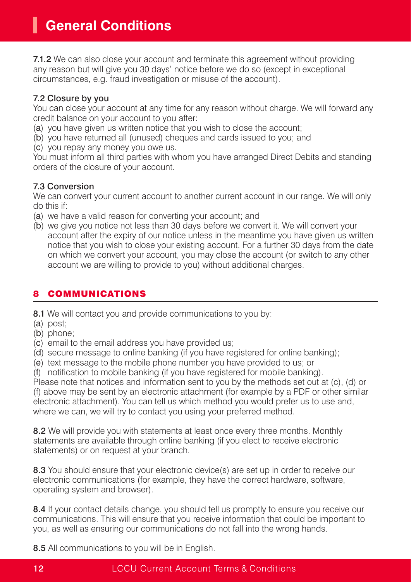7.1.2 We can also close your account and terminate this agreement without providing any reason but will give you 30 days' notice before we do so (except in exceptional circumstances, e.g. fraud investigation or misuse of the account).

## 7.2 Closure by you

You can close your account at any time for any reason without charge. We will forward any credit balance on your account to you after:

- (a) you have given us written notice that you wish to close the account;
- (b) you have returned all (unused) cheques and cards issued to you; and
- (c) you repay any money you owe us.

You must inform all third parties with whom you have arranged Direct Debits and standing orders of the closure of your account.

## 7.3 Conversion

We can convert your current account to another current account in our range. We will only do this if:

- (a) we have a valid reason for converting your account; and
- (b) we give you notice not less than 30 days before we convert it. We will convert your account after the expiry of our notice unless in the meantime you have given us written notice that you wish to close your existing account. For a further 30 days from the date on which we convert your account, you may close the account (or switch to any other account we are willing to provide to you) without additional charges.

## **COMMUNICATIONS**

8.1 We will contact you and provide communications to you by:

- (a) post;
- (b) phone;
- (c) email to the email address you have provided us;
- (d) secure message to online banking (if you have registered for online banking);
- (e) text message to the mobile phone number you have provided to us; or

(f) notification to mobile banking (if you have registered for mobile banking).

Please note that notices and information sent to you by the methods set out at (c), (d) or (f) above may be sent by an electronic attachment (for example by a PDF or other similar electronic attachment). You can tell us which method you would prefer us to use and, where we can, we will try to contact you using your preferred method.

8.2 We will provide you with statements at least once every three months. Monthly statements are available through online banking (if you elect to receive electronic statements) or on request at your branch.

8.3 You should ensure that your electronic device(s) are set up in order to receive our electronic communications (for example, they have the correct hardware, software, operating system and browser).

8.4 If your contact details change, you should tell us promptly to ensure you receive our communications. This will ensure that you receive information that could be important to you, as well as ensuring our communications do not fall into the wrong hands.

8.5 All communications to you will be in English.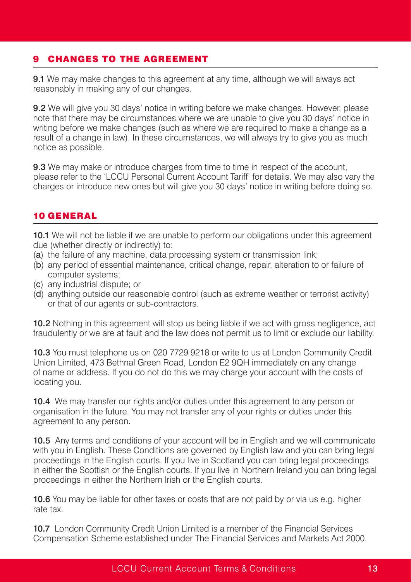## 9 CHANGES TO THE AGREEMENT

**9.1** We may make changes to this agreement at any time, although we will always act reasonably in making any of our changes.

9.2 We will give you 30 days' notice in writing before we make changes. However, please note that there may be circumstances where we are unable to give you 30 days' notice in writing before we make changes (such as where we are required to make a change as a result of a change in law). In these circumstances, we will always try to give you as much notice as possible.

**9.3** We may make or introduce charges from time to time in respect of the account. please refer to the 'LCCU Personal Current Account Tariff' for details. We may also vary the charges or introduce new ones but will give you 30 days' notice in writing before doing so.

## 10 GENERAL

10.1 We will not be liable if we are unable to perform our obligations under this agreement due (whether directly or indirectly) to:

- (a) the failure of any machine, data processing system or transmission link;
- (b) any period of essential maintenance, critical change, repair, alteration to or failure of computer systems;
- (c) any industrial dispute; or
- (d) anything outside our reasonable control (such as extreme weather or terrorist activity) or that of our agents or sub-contractors.

10.2 Nothing in this agreement will stop us being liable if we act with gross negligence, act fraudulently or we are at fault and the law does not permit us to limit or exclude our liability.

10.3 You must telephone us on 020 7729 9218 or write to us at London Community Credit Union Limited, 473 Bethnal Green Road, London E2 9QH immediately on any change of name or address. If you do not do this we may charge your account with the costs of locating you.

10.4 We may transfer our rights and/or duties under this agreement to any person or organisation in the future. You may not transfer any of your rights or duties under this agreement to any person.

10.5 Any terms and conditions of your account will be in English and we will communicate with you in English. These Conditions are governed by English law and you can bring legal proceedings in the English courts. If you live in Scotland you can bring legal proceedings in either the Scottish or the English courts. If you live in Northern Ireland you can bring legal proceedings in either the Northern Irish or the English courts.

10.6 You may be liable for other taxes or costs that are not paid by or via us e.g. higher rate tax.

10.7 London Community Credit Union Limited is a member of the Financial Services Compensation Scheme established under The Financial Services and Markets Act 2000.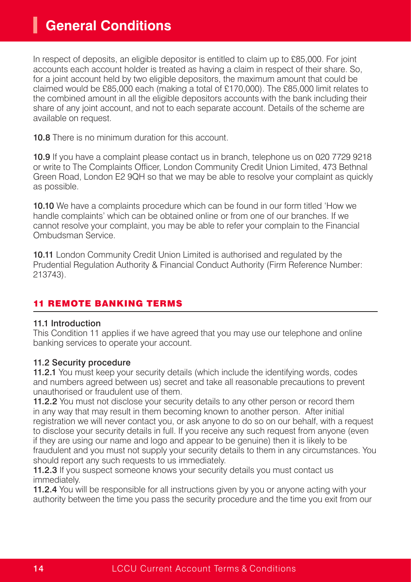## **General Conditions**

In respect of deposits, an eligible depositor is entitled to claim up to £85,000. For joint accounts each account holder is treated as having a claim in respect of their share. So, for a joint account held by two eligible depositors, the maximum amount that could be claimed would be £85,000 each (making a total of £170,000). The £85,000 limit relates to the combined amount in all the eligible depositors accounts with the bank including their share of any joint account, and not to each separate account. Details of the scheme are available on request.

10.8 There is no minimum duration for this account.

10.9 If you have a complaint please contact us in branch, telephone us on 020 7729 9218 or write to The Complaints Officer, London Community Credit Union Limited, 473 Bethnal Green Road, London E2 9QH so that we may be able to resolve your complaint as quickly as possible.

10.10 We have a complaints procedure which can be found in our form titled 'How we handle complaints' which can be obtained online or from one of our branches. If we cannot resolve your complaint, you may be able to refer your complain to the Financial Ombudsman Service.

10.11 London Community Credit Union Limited is authorised and regulated by the Prudential Regulation Authority & Financial Conduct Authority (Firm Reference Number: 213743).

## 11 REMOTE BANKING TERMS

#### 11.1 Introduction

This Condition 11 applies if we have agreed that you may use our telephone and online banking services to operate your account.

#### 11.2 Security procedure

11.2.1 You must keep your security details (which include the identifying words, codes and numbers agreed between us) secret and take all reasonable precautions to prevent unauthorised or fraudulent use of them.

11.2.2 You must not disclose your security details to any other person or record them in any way that may result in them becoming known to another person. After initial registration we will never contact you, or ask anyone to do so on our behalf, with a request to disclose your security details in full. If you receive any such request from anyone (even if they are using our name and logo and appear to be genuine) then it is likely to be fraudulent and you must not supply your security details to them in any circumstances. You should report any such requests to us immediately.

11.2.3 If you suspect someone knows your security details you must contact us immediately.

11.2.4 You will be responsible for all instructions given by you or anyone acting with your authority between the time you pass the security procedure and the time you exit from our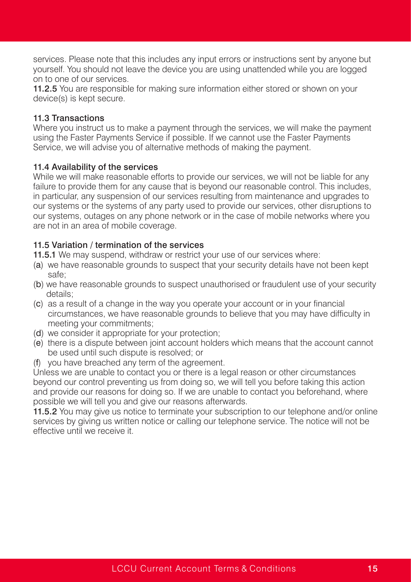services. Please note that this includes any input errors or instructions sent by anyone but yourself. You should not leave the device you are using unattended while you are logged on to one of our services.

11.2.5 You are responsible for making sure information either stored or shown on your device(s) is kept secure.

#### 11.3 Transactions

Where you instruct us to make a payment through the services, we will make the payment using the Faster Payments Service if possible. If we cannot use the Faster Payments Service, we will advise you of alternative methods of making the payment.

#### 11.4 Availability of the services

While we will make reasonable efforts to provide our services, we will not be liable for any failure to provide them for any cause that is beyond our reasonable control. This includes, in particular, any suspension of our services resulting from maintenance and upgrades to our systems or the systems of any party used to provide our services, other disruptions to our systems, outages on any phone network or in the case of mobile networks where you are not in an area of mobile coverage.

#### 11.5 Variation / termination of the services

11.5.1 We may suspend, withdraw or restrict your use of our services where:

- (a) we have reasonable grounds to suspect that your security details have not been kept safe;
- (b) we have reasonable grounds to suspect unauthorised or fraudulent use of your security details;
- (c) as a result of a change in the way you operate your account or in your financial circumstances, we have reasonable grounds to believe that you may have difficulty in meeting your commitments;
- (d) we consider it appropriate for your protection;
- (e) there is a dispute between joint account holders which means that the account cannot be used until such dispute is resolved; or
- (f) you have breached any term of the agreement.

Unless we are unable to contact you or there is a legal reason or other circumstances beyond our control preventing us from doing so, we will tell you before taking this action and provide our reasons for doing so. If we are unable to contact you beforehand, where possible we will tell you and give our reasons afterwards.

11.5.2 You may give us notice to terminate your subscription to our telephone and/or online services by giving us written notice or calling our telephone service. The notice will not be effective until we receive it.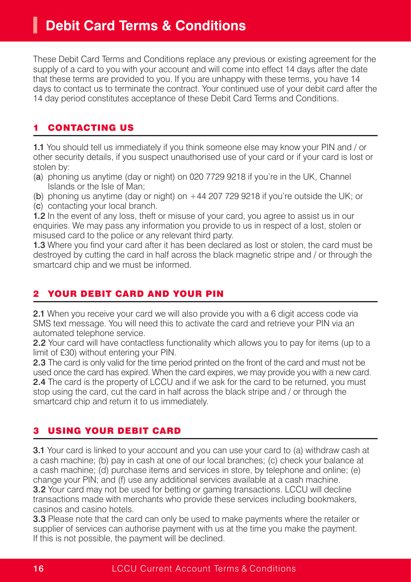## **Debit Card Terms & Conditions**

These Debit Card Terms and Conditions replace any previous or existing agreement for the supply of a card to you with your account and will come into effect 14 days after the date that these terms are provided to you. If you are unhappy with these terms, you have 14 days to contact us to terminate the contract. Your continued use of your debit card after the 14 day period constitutes acceptance of these Debit Card Terms and Conditions.

## **CONTACTING US**

1.1 You should tell us immediately if you think someone else may know your PIN and / or other security details, if you suspect unauthorised use of your card or if your card is lost or stolen by:

- (a) phoning us anytime (day or night) on 020 7729 9218 if you're in the UK, Channel Islands or the Isle of Man;
- (b) phoning us anytime (day or night) on  $+44$  207 729 9218 if you're outside the UK; or
- (c) contacting your local branch.

1.2 In the event of any loss, theft or misuse of your card, you agree to assist us in our enquiries. We may pass any information you provide to us in respect of a lost, stolen or misused card to the police or any relevant third party.

1.3 Where you find your card after it has been declared as lost or stolen, the card must be destroyed by cutting the card in half across the black magnetic stripe and / or through the smartcard chip and we must be informed.

## YOUR DEBIT CARD AND YOUR PIN

2.1 When you receive your card we will also provide you with a 6 digit access code via SMS text message. You will need this to activate the card and retrieve your PIN via an automated telephone service.

2.2 Your card will have contactless functionality which allows you to pay for items (up to a limit of £30) without entering your PIN.

2.3 The card is only valid for the time period printed on the front of the card and must not be used once the card has expired. When the card expires, we may provide you with a new card. 2.4 The card is the property of LCCU and if we ask for the card to be returned, you must stop using the card, cut the card in half across the black stripe and / or through the smartcard chip and return it to us immediately.

## **USING YOUR DEBIT CARD**

3.1 Your card is linked to your account and you can use your card to (a) withdraw cash at a cash machine; (b) pay in cash at one of our local branches; (c) check your balance at a cash machine; (d) purchase items and services in store, by telephone and online; (e) change your PIN; and (f) use any additional services available at a cash machine. 3.2 Your card may not be used for betting or gaming transactions. LCCU will decline transactions made with merchants who provide these services including bookmakers, casinos and casino hotels.

3.3 Please note that the card can only be used to make payments where the retailer or supplier of services can authorise payment with us at the time you make the payment. If this is not possible, the payment will be declined.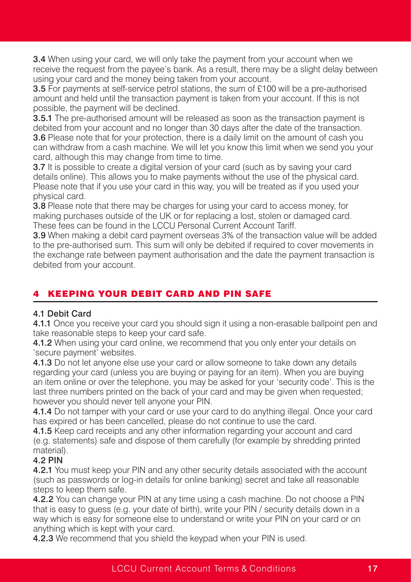3.4 When using your card, we will only take the payment from your account when we receive the request from the payee's bank. As a result, there may be a slight delay between using your card and the money being taken from your account.

3.5 For payments at self-service petrol stations, the sum of £100 will be a pre-authorised amount and held until the transaction payment is taken from your account. If this is not possible, the payment will be declined.

**3.5.1** The pre-authorised amount will be released as soon as the transaction payment is debited from your account and no longer than 30 days after the date of the transaction. **3.6** Please note that for your protection, there is a daily limit on the amount of cash you can withdraw from a cash machine. We will let you know this limit when we send you your card, although this may change from time to time.

**3.7** It is possible to create a digital version of your card (such as by saving your card details online). This allows you to make payments without the use of the physical card. Please note that if you use your card in this way, you will be treated as if you used your physical card.

3.8 Please note that there may be charges for using your card to access money, for making purchases outside of the UK or for replacing a lost, stolen or damaged card. These fees can be found in the LCCU Personal Current Account Tariff.

3.9 When making a debit card payment overseas 3% of the transaction value will be added to the pre-authorised sum. This sum will only be debited if required to cover movements in the exchange rate between payment authorisation and the date the payment transaction is debited from your account.

## **KEEPING YOUR DEBIT CARD AND PIN SAFE**

## 4.1 Debit Card

4.1.1 Once you receive your card you should sign it using a non-erasable ballpoint pen and take reasonable steps to keep your card safe.

4.1.2 When using your card online, we recommend that you only enter your details on 'secure payment' websites.

4.1.3 Do not let anyone else use your card or allow someone to take down any details regarding your card (unless you are buying or paying for an item). When you are buying an item online or over the telephone, you may be asked for your 'security code'. This is the last three numbers printed on the back of your card and may be given when requested; however you should never tell anyone your PIN.

4.1.4 Do not tamper with your card or use your card to do anything illegal. Once your card has expired or has been cancelled, please do not continue to use the card.

4.1.5 Keep card receipts and any other information regarding your account and card (e.g. statements) safe and dispose of them carefully (for example by shredding printed material).

## 4.2 PIN

4.2.1 You must keep your PIN and any other security details associated with the account (such as passwords or log-in details for online banking) secret and take all reasonable steps to keep them safe.

4.2.2 You can change your PIN at any time using a cash machine. Do not choose a PIN that is easy to guess (e.g. your date of birth), write your PIN / security details down in a way which is easy for someone else to understand or write your PIN on your card or on anything which is kept with your card.

4.2.3 We recommend that you shield the keypad when your PIN is used.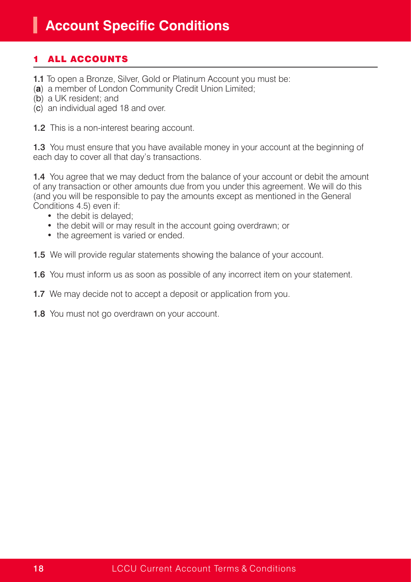## **ALL ACCOUNTS**

- 1.1 To open a Bronze, Silver, Gold or Platinum Account you must be:
- (**a**) a member of London Community Credit Union Limited;
- (b) a UK resident; and
- (c) an individual aged 18 and over.

1.2 This is a non-interest bearing account.

1.3 You must ensure that you have available money in your account at the beginning of each day to cover all that day's transactions.

1.4 You agree that we may deduct from the balance of your account or debit the amount of any transaction or other amounts due from you under this agreement. We will do this (and you will be responsible to pay the amounts except as mentioned in the General Conditions 4.5) even if:

- the debit is delayed;
- the debit will or may result in the account going overdrawn; or
- the agreement is varied or ended.
- 1.5 We will provide regular statements showing the balance of your account.
- 1.6 You must inform us as soon as possible of any incorrect item on your statement.
- 1.7 We may decide not to accept a deposit or application from you.
- 1.8 You must not go overdrawn on your account.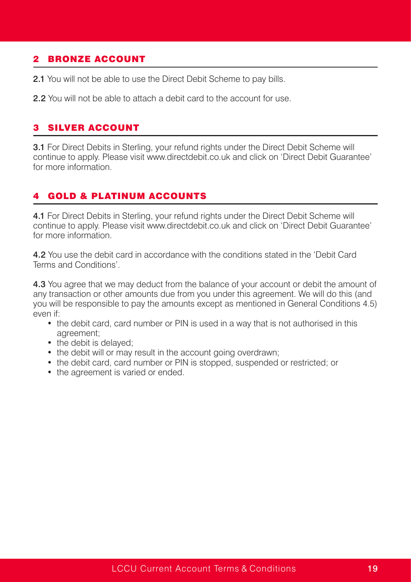## 2 BRONZE ACCOUNT

- 2.1 You will not be able to use the Direct Debit Scheme to pay bills.
- 2.2 You will not be able to attach a debit card to the account for use.

#### **SILVER ACCOUNT**

**3.1** For Direct Debits in Sterling, your refund rights under the Direct Debit Scheme will continue to apply. Please visit www.directdebit.co.uk and click on 'Direct Debit Guarantee' for more information.

## 4 GOLD & PLATINUM ACCOUNTS

4.1 For Direct Debits in Sterling, your refund rights under the Direct Debit Scheme will continue to apply. Please visit www.directdebit.co.uk and click on 'Direct Debit Guarantee' for more information.

4.2 You use the debit card in accordance with the conditions stated in the 'Debit Card Terms and Conditions'.

4.3 You agree that we may deduct from the balance of your account or debit the amount of any transaction or other amounts due from you under this agreement. We will do this (and you will be responsible to pay the amounts except as mentioned in General Conditions 4.5) even if:

- the debit card, card number or PIN is used in a way that is not authorised in this agreement;
- the debit is delayed:
- the debit will or may result in the account going overdrawn;
- the debit card, card number or PIN is stopped, suspended or restricted; or
- the agreement is varied or ended.